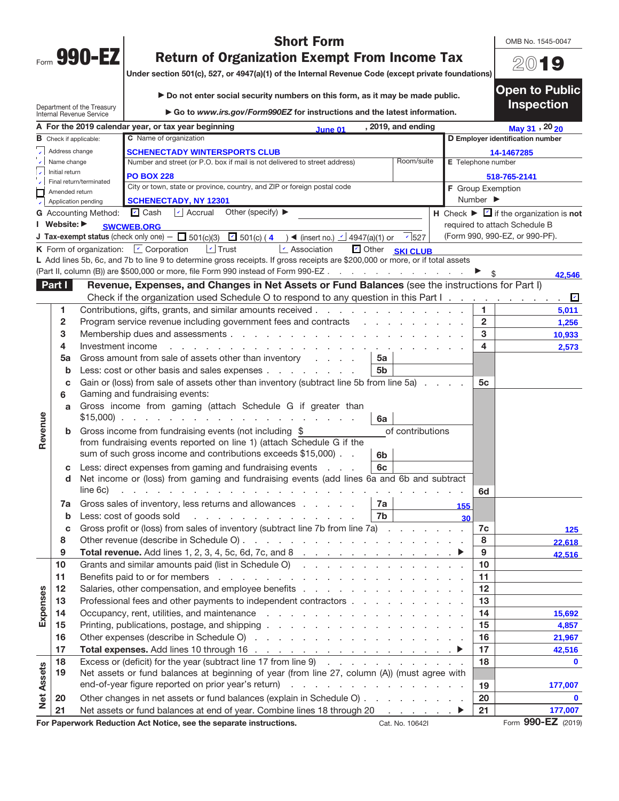| Form | 90<br>٧<br>$\bullet$<br><b>Service Service</b> |  |
|------|------------------------------------------------|--|

Department of the Treasury Internal Revenue Service

OMB No. 1545-0047

20**19**

**Open to Public** 

## **Short Form<br>Return of Organization Exempt From Income Tax**

**Return of Organization Exempt From Income Tax Under section 501(c), 527, or 4947(a)(1) of the Internal Revenue Code (except private foundations)**

| ▶ Do not enter social security numbers on this form, as it may be made public. |  |
|--------------------------------------------------------------------------------|--|
|                                                                                |  |

▶ Go to *www.irs.gov/Form990EZ* for instructions and the latest information. **Inspection** 

|                   |                               |                             | A For the 2019 calendar year, or tax year beginning<br><b>June 01</b>                                                            |                | , 2019, and ending    |                    |                              | May 31, 20 20                                                    |  |  |
|-------------------|-------------------------------|-----------------------------|----------------------------------------------------------------------------------------------------------------------------------|----------------|-----------------------|--------------------|------------------------------|------------------------------------------------------------------|--|--|
|                   | <b>B</b> Check if applicable: |                             | C Name of organization                                                                                                           |                |                       |                    |                              | D Employer identification number                                 |  |  |
|                   | Address change                |                             | <b>SCHENECTADY WINTERSPORTS CLUB</b>                                                                                             |                |                       |                    | 14-1467285                   |                                                                  |  |  |
|                   | Name change                   |                             | Number and street (or P.O. box if mail is not delivered to street address)                                                       |                | Room/suite            | E Telephone number |                              |                                                                  |  |  |
|                   | Initial return                |                             | <b>PO BOX 228</b>                                                                                                                |                |                       |                    |                              | 518-765-2141                                                     |  |  |
|                   | Amended return                | Final return/terminated     | City or town, state or province, country, and ZIP or foreign postal code                                                         |                |                       | F Group Exemption  |                              |                                                                  |  |  |
|                   |                               | Application pending         | <b>SCHENECTADY, NY 12301</b>                                                                                                     |                |                       |                    | Number $\blacktriangleright$ |                                                                  |  |  |
|                   |                               | G Accounting Method: 4 Cash | Other (specify) $\blacktriangleright$<br>Accrual                                                                                 |                |                       |                    |                              | H Check $\blacktriangleright \square$ if the organization is not |  |  |
|                   | I Website: ▶                  |                             | <b>SWCWEB.ORG</b>                                                                                                                |                |                       |                    |                              | required to attach Schedule B                                    |  |  |
|                   |                               |                             | J Tax-exempt status (check only one) - $\Box$ 501(c)(3) $\Box$ 501(c) (4) $\blacktriangleleft$ (insert no.) $\Box$ 4947(a)(1) or |                | 527                   |                    |                              | (Form 990, 990-EZ, or 990-PF).                                   |  |  |
|                   |                               |                             | $\Box$ Trust<br><b>K</b> Form of organization: $\Box$ Corporation<br>Association                                                 |                | Other <b>SKI CLUB</b> |                    |                              |                                                                  |  |  |
|                   |                               |                             | L Add lines 5b, 6c, and 7b to line 9 to determine gross receipts. If gross receipts are \$200,000 or more, or if total assets    |                |                       |                    |                              |                                                                  |  |  |
|                   |                               |                             | (Part II, column (B)) are \$500,000 or more, file Form 990 instead of Form 990-EZ                                                |                |                       |                    |                              | 42,546                                                           |  |  |
|                   | Part I                        |                             | Revenue, Expenses, and Changes in Net Assets or Fund Balances (see the instructions for Part I)                                  |                |                       |                    |                              |                                                                  |  |  |
|                   |                               |                             | Check if the organization used Schedule O to respond to any question in this Part $1 \ldots \ldots \ldots$                       |                |                       |                    |                              |                                                                  |  |  |
|                   | 1                             |                             | Contributions, gifts, grants, and similar amounts received                                                                       |                |                       |                    |                              | 5,011                                                            |  |  |
|                   | 2                             |                             | Program service revenue including government fees and contracts                                                                  |                |                       |                    | $\overline{2}$               | 1,256                                                            |  |  |
|                   | 3                             |                             |                                                                                                                                  |                |                       |                    | 3                            | 10,933                                                           |  |  |
|                   | 4                             | Investment income           | and a strategic and                                                                                                              |                |                       |                    | 4                            | 2,573                                                            |  |  |
|                   | 5a                            |                             | Gross amount from sale of assets other than inventory                                                                            | 5а             |                       |                    |                              |                                                                  |  |  |
|                   | b                             |                             | Less: cost or other basis and sales expenses                                                                                     | 5b             |                       |                    |                              |                                                                  |  |  |
|                   | C                             |                             | Gain or (loss) from sale of assets other than inventory (subtract line 5b from line 5a)                                          |                |                       |                    | 5c                           |                                                                  |  |  |
|                   | 6                             |                             | Gaming and fundraising events:                                                                                                   |                |                       |                    |                              |                                                                  |  |  |
|                   | a                             |                             | Gross income from gaming (attach Schedule G if greater than                                                                      |                |                       |                    |                              |                                                                  |  |  |
|                   |                               |                             |                                                                                                                                  | 6a             |                       |                    |                              |                                                                  |  |  |
| Revenue           | b                             |                             | Gross income from fundraising events (not including \$                                                                           |                | of contributions      |                    |                              |                                                                  |  |  |
|                   |                               |                             | from fundraising events reported on line 1) (attach Schedule G if the                                                            |                |                       |                    |                              |                                                                  |  |  |
|                   |                               |                             | sum of such gross income and contributions exceeds \$15,000).                                                                    | 6 <sub>b</sub> |                       |                    |                              |                                                                  |  |  |
|                   | c                             |                             | Less: direct expenses from gaming and fundraising events                                                                         | 6c             |                       |                    |                              |                                                                  |  |  |
|                   | d                             |                             | Net income or (loss) from gaming and fundraising events (add lines 6a and 6b and subtract                                        |                |                       |                    |                              |                                                                  |  |  |
|                   |                               | line 6c)                    | de la casa de la casa de la casa de la casa de la                                                                                |                |                       |                    | 6d                           |                                                                  |  |  |
|                   | 7a                            |                             | Gross sales of inventory, less returns and allowances                                                                            | 7a             |                       | 155                |                              |                                                                  |  |  |
|                   | b                             |                             | Less: cost of goods sold $\cdots$                                                                                                | 7b             |                       | 30                 |                              |                                                                  |  |  |
|                   | c                             |                             | Gross profit or (loss) from sales of inventory (subtract line 7b from line 7a)                                                   |                |                       |                    | 7c                           | 125                                                              |  |  |
|                   | 8                             |                             |                                                                                                                                  |                |                       |                    | 8                            | 22.618                                                           |  |  |
|                   | 9                             |                             | Total revenue. Add lines 1, 2, 3, 4, 5c, 6d, 7c, and 8 $\ldots$ $\ldots$ $\ldots$ $\ldots$ $\ldots$ $\ldots$                     |                |                       |                    | 9                            | 42,516                                                           |  |  |
|                   | 10                            |                             | Grants and similar amounts paid (list in Schedule O)                                                                             |                |                       |                    | 10                           |                                                                  |  |  |
|                   | 11                            |                             |                                                                                                                                  |                |                       |                    | 11                           |                                                                  |  |  |
|                   | 12                            |                             | Salaries, other compensation, and employee benefits                                                                              |                |                       |                    | 12                           |                                                                  |  |  |
|                   | 13                            |                             | Professional fees and other payments to independent contractors                                                                  |                |                       |                    | 13                           |                                                                  |  |  |
| Expenses          | 14                            |                             |                                                                                                                                  |                |                       |                    | 14                           | 15,692                                                           |  |  |
|                   | 15                            |                             |                                                                                                                                  |                |                       |                    | 15                           | 4,857                                                            |  |  |
|                   | 16                            |                             |                                                                                                                                  |                |                       |                    | 16                           | 21,967                                                           |  |  |
|                   | 17                            |                             |                                                                                                                                  |                |                       |                    | 17                           | 42,516                                                           |  |  |
|                   | 18                            |                             | Excess or (deficit) for the year (subtract line 17 from line 9)                                                                  |                |                       |                    | 18                           | $\mathbf 0$                                                      |  |  |
|                   | 19                            |                             | Net assets or fund balances at beginning of year (from line 27, column (A)) (must agree with                                     |                |                       |                    |                              |                                                                  |  |  |
|                   |                               |                             |                                                                                                                                  |                |                       |                    | 19                           | 177,007                                                          |  |  |
| <b>Net Assets</b> | 20                            |                             | Other changes in net assets or fund balances (explain in Schedule O)                                                             |                |                       |                    | 20                           | $\mathbf 0$                                                      |  |  |
|                   | 21                            |                             | Net assets or fund balances at end of year. Combine lines 18 through 20 ▶                                                        |                |                       |                    | 21                           | 177,007                                                          |  |  |
|                   |                               |                             | For Paperwork Reduction Act Notice, see the separate instructions.                                                               |                | Cat. No. 10642I       |                    |                              | Form 990-EZ (2019)                                               |  |  |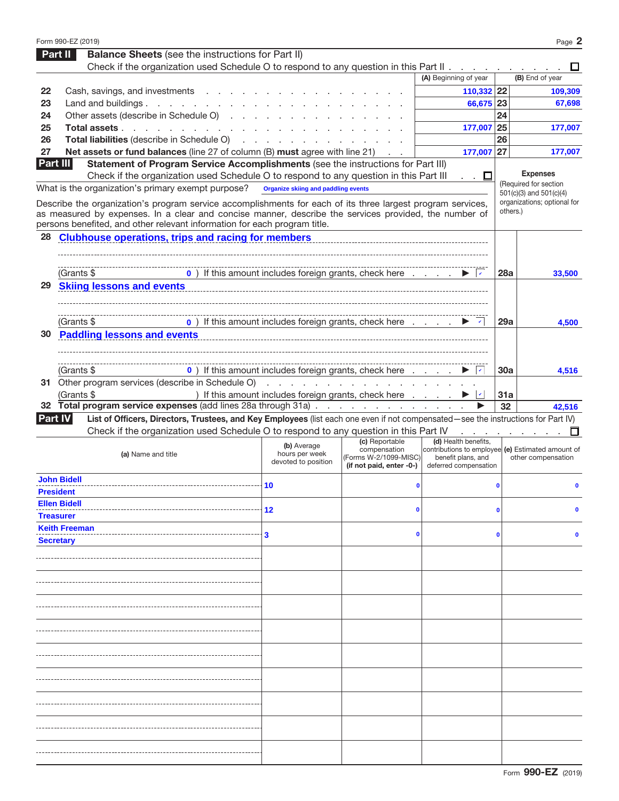|    | Form 990-EZ (2019)                                                                                                                                                                                                                                                                                |                                                                                                  |                                                                   |                                             |              | Page 2                                                                  |
|----|---------------------------------------------------------------------------------------------------------------------------------------------------------------------------------------------------------------------------------------------------------------------------------------------------|--------------------------------------------------------------------------------------------------|-------------------------------------------------------------------|---------------------------------------------|--------------|-------------------------------------------------------------------------|
|    | <b>Balance Sheets</b> (see the instructions for Part II)<br>Part II                                                                                                                                                                                                                               |                                                                                                  |                                                                   |                                             |              |                                                                         |
|    | Check if the organization used Schedule O to respond to any question in this Part II $\ldots$                                                                                                                                                                                                     |                                                                                                  |                                                                   |                                             |              | ப                                                                       |
|    |                                                                                                                                                                                                                                                                                                   |                                                                                                  |                                                                   | (A) Beginning of year                       |              | (B) End of year                                                         |
| 22 | Cash, savings, and investments                                                                                                                                                                                                                                                                    |                                                                                                  |                                                                   | 110,332 22                                  |              | 109,309                                                                 |
| 23 | Land and buildings. $\cdot \cdot \cdot \cdot \cdot \cdot \cdot \cdot \cdot$                                                                                                                                                                                                                       |                                                                                                  |                                                                   | 66,675 23                                   |              | 67,698                                                                  |
| 24 | Other assets (describe in Schedule O)                                                                                                                                                                                                                                                             |                                                                                                  |                                                                   |                                             | 24           |                                                                         |
| 25 | Total assets                                                                                                                                                                                                                                                                                      |                                                                                                  |                                                                   | 177,007                                     | 25           | 177,007                                                                 |
| 26 | Total liabilities (describe in Schedule O)                                                                                                                                                                                                                                                        |                                                                                                  |                                                                   |                                             | 26           |                                                                         |
| 27 | Net assets or fund balances (line 27 of column (B) must agree with line 21)                                                                                                                                                                                                                       |                                                                                                  |                                                                   | 177,007                                     | 27           | 177,007                                                                 |
|    | Part III<br>Statement of Program Service Accomplishments (see the instructions for Part III)<br>Check if the organization used Schedule O to respond to any question in this Part III                                                                                                             |                                                                                                  |                                                                   |                                             |              | <b>Expenses</b>                                                         |
|    | What is the organization's primary exempt purpose?                                                                                                                                                                                                                                                | <b>Organize skiing and paddling events</b>                                                       |                                                                   | . . ⊔                                       |              | (Required for section                                                   |
|    |                                                                                                                                                                                                                                                                                                   |                                                                                                  |                                                                   |                                             |              | 501(c)(3) and 501(c)(4)<br>organizations; optional for                  |
|    | Describe the organization's program service accomplishments for each of its three largest program services,<br>as measured by expenses. In a clear and concise manner, describe the services provided, the number of<br>persons benefited, and other relevant information for each program title. |                                                                                                  |                                                                   |                                             |              | others.)                                                                |
| 28 | <b>Clubhouse operations, trips and racing for members</b>                                                                                                                                                                                                                                         |                                                                                                  |                                                                   |                                             |              |                                                                         |
|    |                                                                                                                                                                                                                                                                                                   |                                                                                                  |                                                                   |                                             |              |                                                                         |
|    | (Grants \$                                                                                                                                                                                                                                                                                        | $\bullet$ ) If this amount includes foreign grants, check here $\cdot$ $\cdot$ $\cdot$ $\bullet$ |                                                                   |                                             | 28a          | 33,500                                                                  |
| 29 | Skiing lessons and events <b>Manual Accord and Accord and Accord Accord Accord Accord Accord Accord Accord Accord Accord Accord Accord Accord Accord Accord Accord Accord Accord Accord Accord Accord Accord Accord Accord Accor</b>                                                              |                                                                                                  |                                                                   |                                             |              |                                                                         |
|    |                                                                                                                                                                                                                                                                                                   |                                                                                                  |                                                                   |                                             |              |                                                                         |
|    | (Grants \$                                                                                                                                                                                                                                                                                        | 0) If this amount includes foreign grants, check here                                            |                                                                   |                                             | 29a          | 4,500                                                                   |
| 30 | <b>Paddling lessons and events</b>                                                                                                                                                                                                                                                                |                                                                                                  |                                                                   |                                             |              |                                                                         |
|    |                                                                                                                                                                                                                                                                                                   |                                                                                                  |                                                                   |                                             |              |                                                                         |
|    | (Grants \$                                                                                                                                                                                                                                                                                        | 0) If this amount includes foreign grants, check here                                            |                                                                   |                                             | <b>30a</b>   | 4,516                                                                   |
|    | 31 Other program services (describe in Schedule O)                                                                                                                                                                                                                                                |                                                                                                  |                                                                   |                                             |              |                                                                         |
|    | (Grants \$                                                                                                                                                                                                                                                                                        | ) If this amount includes foreign grants, check here                                             |                                                                   |                                             | 31a          |                                                                         |
|    | 32 Total program service expenses (add lines 28a through 31a)                                                                                                                                                                                                                                     |                                                                                                  |                                                                   |                                             | 32           | 42,516                                                                  |
|    | List of Officers, Directors, Trustees, and Key Employees (list each one even if not compensated-see the instructions for Part IV)<br><b>Part IV</b>                                                                                                                                               |                                                                                                  |                                                                   |                                             |              |                                                                         |
|    | Check if the organization used Schedule O to respond to any question in this Part IV                                                                                                                                                                                                              |                                                                                                  | (c) Reportable                                                    | (d) Health benefits,                        |              | and a state of the state of the<br>П                                    |
|    | (a) Name and title                                                                                                                                                                                                                                                                                | (b) Average<br>hours per week<br>devoted to position                                             | compensation<br>(Forms W-2/1099-MISC)<br>(if not paid, enter -0-) | benefit plans, and<br>deferred compensation |              | contributions to employee (e) Estimated amount of<br>other compensation |
|    | <b>John Bidell</b>                                                                                                                                                                                                                                                                                | 10                                                                                               | $\mathbf 0$                                                       |                                             | $\bf{0}$     |                                                                         |
|    | <b>President</b><br><b>Ellen Bidell</b>                                                                                                                                                                                                                                                           |                                                                                                  |                                                                   |                                             |              |                                                                         |
|    | <b>Treasurer</b>                                                                                                                                                                                                                                                                                  | 12                                                                                               | $\mathbf 0$                                                       |                                             | $\mathbf 0$  |                                                                         |
|    | <b>Keith Freeman</b>                                                                                                                                                                                                                                                                              |                                                                                                  |                                                                   |                                             |              |                                                                         |
|    | <b>Secretary</b>                                                                                                                                                                                                                                                                                  | 3                                                                                                | $\mathbf 0$                                                       |                                             | $\mathbf{0}$ | n                                                                       |
|    |                                                                                                                                                                                                                                                                                                   |                                                                                                  |                                                                   |                                             |              |                                                                         |
|    |                                                                                                                                                                                                                                                                                                   |                                                                                                  |                                                                   |                                             |              |                                                                         |
|    |                                                                                                                                                                                                                                                                                                   |                                                                                                  |                                                                   |                                             |              |                                                                         |
|    |                                                                                                                                                                                                                                                                                                   |                                                                                                  |                                                                   |                                             |              |                                                                         |
|    |                                                                                                                                                                                                                                                                                                   |                                                                                                  |                                                                   |                                             |              |                                                                         |
|    |                                                                                                                                                                                                                                                                                                   |                                                                                                  |                                                                   |                                             |              |                                                                         |
|    |                                                                                                                                                                                                                                                                                                   |                                                                                                  |                                                                   |                                             |              |                                                                         |
|    |                                                                                                                                                                                                                                                                                                   |                                                                                                  |                                                                   |                                             |              |                                                                         |
|    |                                                                                                                                                                                                                                                                                                   |                                                                                                  |                                                                   |                                             |              |                                                                         |
|    |                                                                                                                                                                                                                                                                                                   |                                                                                                  |                                                                   |                                             |              |                                                                         |
|    |                                                                                                                                                                                                                                                                                                   |                                                                                                  |                                                                   |                                             |              |                                                                         |
|    |                                                                                                                                                                                                                                                                                                   |                                                                                                  |                                                                   |                                             |              |                                                                         |
|    |                                                                                                                                                                                                                                                                                                   |                                                                                                  |                                                                   |                                             |              |                                                                         |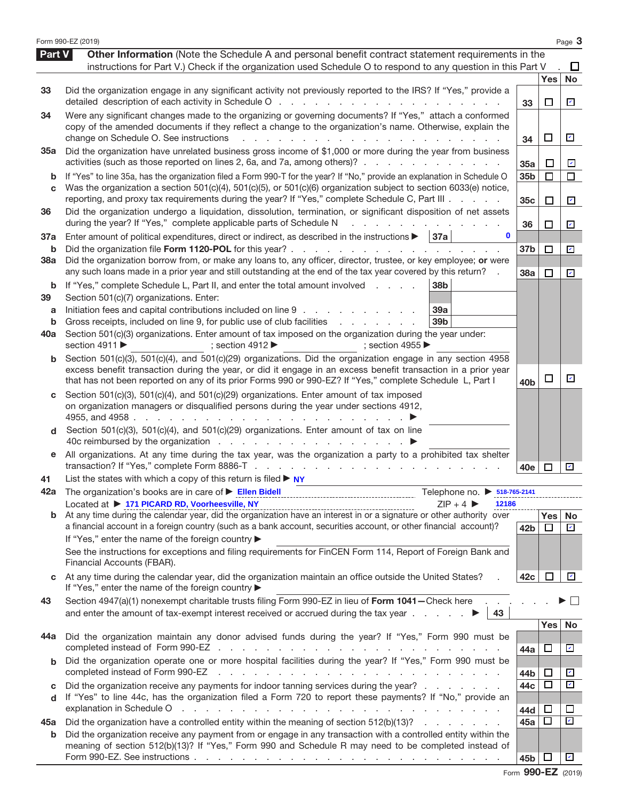|                          | Form 990-EZ (2019)                                                                                                                                                                                                                                                                                                                                                                                                                                                                                                                                  |                                    |                  | Page 3                                              |
|--------------------------|-----------------------------------------------------------------------------------------------------------------------------------------------------------------------------------------------------------------------------------------------------------------------------------------------------------------------------------------------------------------------------------------------------------------------------------------------------------------------------------------------------------------------------------------------------|------------------------------------|------------------|-----------------------------------------------------|
| <b>Part V</b>            | Other Information (Note the Schedule A and personal benefit contract statement requirements in the<br>instructions for Part V.) Check if the organization used Schedule O to respond to any question in this Part V                                                                                                                                                                                                                                                                                                                                 |                                    |                  | ப                                                   |
| 33                       | Did the organization engage in any significant activity not previously reported to the IRS? If "Yes," provide a<br>detailed description of each activity in Schedule O                                                                                                                                                                                                                                                                                                                                                                              | 33                                 | Yes<br>ப         | No<br>$\overline{\phantom{a}}$                      |
| 34                       | Were any significant changes made to the organizing or governing documents? If "Yes," attach a conformed<br>copy of the amended documents if they reflect a change to the organization's name. Otherwise, explain the<br>change on Schedule O. See instructions                                                                                                                                                                                                                                                                                     | 34                                 | □                | $\overline{\phantom{a}}$                            |
| <b>35a</b>               | Did the organization have unrelated business gross income of \$1,000 or more during the year from business<br>activities (such as those reported on lines 2, 6a, and 7a, among others)?                                                                                                                                                                                                                                                                                                                                                             | 35a                                | □                | $\overline{\mathcal{L}}$                            |
| b<br>C                   | If "Yes" to line 35a, has the organization filed a Form 990-T for the year? If "No," provide an explanation in Schedule O<br>Was the organization a section 501(c)(4), 501(c)(5), or 501(c)(6) organization subject to section 6033(e) notice,<br>reporting, and proxy tax requirements during the year? If "Yes," complete Schedule C, Part III                                                                                                                                                                                                    | 35 <sub>b</sub><br>35 <sub>c</sub> | $\Box$<br>□      | $\Box$<br>$\mathbf{v}$                              |
| 36                       | Did the organization undergo a liquidation, dissolution, termination, or significant disposition of net assets<br>during the year? If "Yes," complete applicable parts of Schedule N                                                                                                                                                                                                                                                                                                                                                                | 36                                 | □                | $\mathbf{v}$                                        |
| 37a<br>b                 | Enter amount of political expenditures, direct or indirect, as described in the instructions $\blacktriangleright$<br>37a<br>0<br>Did the organization file Form 1120-POL for this year?.<br>$\mathbf{L} = \mathbf{L} \times \mathbf{L}$<br>and a state<br>$\sim$                                                                                                                                                                                                                                                                                   | 37b                                | $\Box$           | $\mathcal{L}$                                       |
| 38a                      | Did the organization borrow from, or make any loans to, any officer, director, trustee, or key employee; or were<br>any such loans made in a prior year and still outstanding at the end of the tax year covered by this return?                                                                                                                                                                                                                                                                                                                    | <b>38a</b>                         | $\Box$           | $\overline{\phantom{0}}$                            |
| b<br>39<br>a<br>b<br>40a | If "Yes," complete Schedule L, Part II, and enter the total amount involved<br>38 <sub>b</sub><br>Section 501(c)(7) organizations. Enter:<br>Initiation fees and capital contributions included on line 9<br>39a<br>Gross receipts, included on line 9, for public use of club facilities<br>39 <sub>b</sub><br>and a state of the state<br>Section 501(c)(3) organizations. Enter amount of tax imposed on the organization during the year under:<br>section 4911<br>; section $4912 \blacktriangleright$<br>; section 4955 $\blacktriangleright$ |                                    |                  |                                                     |
| b                        | Section 501(c)(3), 501(c)(4), and 501(c)(29) organizations. Did the organization engage in any section 4958<br>excess benefit transaction during the year, or did it engage in an excess benefit transaction in a prior year<br>that has not been reported on any of its prior Forms 990 or 990-EZ? If "Yes," complete Schedule L, Part I                                                                                                                                                                                                           | 40 <sub>b</sub>                    | $\Box$           | $\mathbf{v}$                                        |
| d                        | Section 501(c)(3), 501(c)(4), and 501(c)(29) organizations. Enter amount of tax imposed<br>on organization managers or disqualified persons during the year under sections 4912,<br>4955, and 4958.<br>and the company of the state of the<br>Section 501(c)(3), 501(c)(4), and 501(c)(29) organizations. Enter amount of tax on line                                                                                                                                                                                                               |                                    |                  |                                                     |
| е                        | All organizations. At any time during the tax year, was the organization a party to a prohibited tax shelter                                                                                                                                                                                                                                                                                                                                                                                                                                        | 40e                                | $\mathbf{I}$     | $\mathbf{v}$                                        |
| 41<br>42a                | List the states with which a copy of this return is filed $\triangleright$ NY<br>The organization's books are in care of ▶ Ellen Bidell [11] Ellen Picture and The Organization's books are in care of ▶ Ellen Bidell<br>Telephone no. > 518-765-2141<br>Located at ▶ 171 PICARD RD, Voorheesville, NY<br>$ZIP + 4$<br>12186                                                                                                                                                                                                                        |                                    |                  |                                                     |
|                          | a financial account in a foreign country (such as a bank account, securities account, or other financial account)?<br>If "Yes," enter the name of the foreign country ▶<br>See the instructions for exceptions and filing requirements for FinCEN Form 114, Report of Foreign Bank and<br>Financial Accounts (FBAR).                                                                                                                                                                                                                                | 42 <sub>b</sub>                    | Yes No<br>$\Box$ | $\mathbf{v}$                                        |
|                          | At any time during the calendar year, did the organization maintain an office outside the United States?<br>If "Yes," enter the name of the foreign country ▶                                                                                                                                                                                                                                                                                                                                                                                       | 42c                                | ப                | $\overline{\phantom{a}}$                            |
| 43                       | Section 4947(a)(1) nonexempt charitable trusts filing Form 990-EZ in lieu of Form 1041-Check here<br>and enter the amount of tax-exempt interest received or accrued during the tax year $\ldots$ $\ldots$<br>43                                                                                                                                                                                                                                                                                                                                    |                                    |                  |                                                     |
| 44a                      | Did the organization maintain any donor advised funds during the year? If "Yes," Form 990 must be                                                                                                                                                                                                                                                                                                                                                                                                                                                   | 44a                                | Yes<br>ப         | No<br>☑                                             |
| b                        | Did the organization operate one or more hospital facilities during the year? If "Yes," Form 990 must be<br>completed instead of Form 990-EZ<br>a construction of the construction of the construction of the construction of the construction of the construction of the construction of the construction of the construction of the construction of the construction of the                                                                                                                                                                       | 44b                                | □                | $\overline{\mathcal{L}}$                            |
| C<br>d                   | Did the organization receive any payments for indoor tanning services during the year?<br>If "Yes" to line 44c, has the organization filed a Form 720 to report these payments? If "No," provide an                                                                                                                                                                                                                                                                                                                                                 | 44c<br>44d                         | $\Box$           | $\checkmark$<br>$\Box$                              |
| 45а<br>b                 | Did the organization have a controlled entity within the meaning of section 512(b)(13)?<br>Did the organization receive any payment from or engage in any transaction with a controlled entity within the<br>meaning of section 512(b)(13)? If "Yes," Form 990 and Schedule R may need to be completed instead of                                                                                                                                                                                                                                   | 45а<br>45b                         | □<br>ப           | $\overline{\mathbf{v}}$<br>$\overline{\mathcal{C}}$ |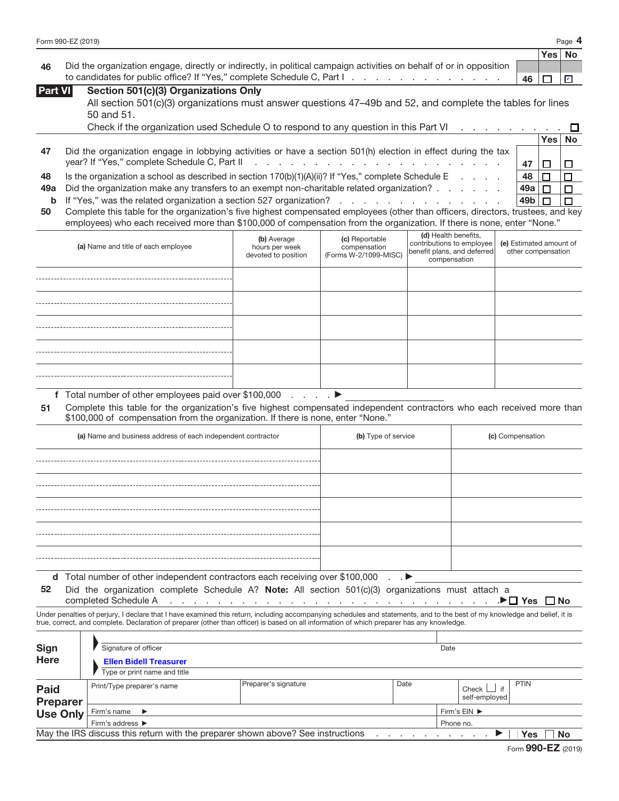| Form 990-EZ (2019) | Page<br>д. |
|--------------------|------------|
|--------------------|------------|

|                                                                                                                        | ∣Yes∣N       |  |
|------------------------------------------------------------------------------------------------------------------------|--------------|--|
| 46 Did the organization engage, directly or indirectly, in political campaign activities on behalf of or in opposition |              |  |
| to candidates for public office? If "Yes," complete Schedule C, Part I.                                                | │ 46 │ □ │ ☑ |  |

| Section 501(c)(3) Organizations Only<br>Part VI I |  |  |
|---------------------------------------------------|--|--|
|---------------------------------------------------|--|--|

| All section 501(c)(3) organizations must answer questions 47-49b and 52, and complete the tables for lines |  |  |
|------------------------------------------------------------------------------------------------------------|--|--|
| 50 and 51.                                                                                                 |  |  |

|    | Check if the organization used Schedule O to respond to any question in this Part VI $\ldots$ , $\ldots$      |     |      |    |
|----|---------------------------------------------------------------------------------------------------------------|-----|------|----|
|    |                                                                                                               |     | Yes∣ | No |
| 47 | Did the organization engage in lobbying activities or have a section 501(h) election in effect during the tax |     |      |    |
|    |                                                                                                               |     |      |    |
| 48 | Is the organization a school as described in section $170(b)(1)(A)(ii)$ ? If "Yes," complete Schedule E       | 48  |      |    |
|    | 49a Did the organization make any transfers to an exempt non-charitable related organization?                 | 49a |      |    |
|    | <b>b</b> If "Yes," was the related organization a section 527 organization?                                   |     |      |    |
|    |                                                                                                               |     |      |    |

**50** Complete this table for the organization's five highest compensated employees (other than officers, directors, trustees, and key employees) who each received more than \$100,000 of compensation from the organization. If there is none, enter "None."

| (a) Name and title of each employee | (b) Average<br>hours per week<br>devoted to position | (c) Reportable<br>compensation<br>(Forms W-2/1099-MISC) | (d) Health benefits,<br>contributions to employee<br>benefit plans, and deferred<br>compensation | (e) Estimated amount of<br>other compensation |
|-------------------------------------|------------------------------------------------------|---------------------------------------------------------|--------------------------------------------------------------------------------------------------|-----------------------------------------------|
|                                     |                                                      |                                                         |                                                                                                  |                                               |
|                                     |                                                      |                                                         |                                                                                                  |                                               |
|                                     |                                                      |                                                         |                                                                                                  |                                               |
|                                     |                                                      |                                                         |                                                                                                  |                                               |
|                                     |                                                      |                                                         |                                                                                                  |                                               |

**f** Total number of other employees paid over \$100,000 . . . . a

**51** Complete this table for the organization's five highest compensated independent contractors who each received more than \$100,000 of compensation from the organization. If there is none, enter "None."

| (a) Name and business address of each independent contractor                                     | (b) Type of service | (c) Compensation |  |  |
|--------------------------------------------------------------------------------------------------|---------------------|------------------|--|--|
|                                                                                                  |                     |                  |  |  |
|                                                                                                  |                     |                  |  |  |
|                                                                                                  |                     |                  |  |  |
|                                                                                                  |                     |                  |  |  |
|                                                                                                  |                     |                  |  |  |
|                                                                                                  |                     |                  |  |  |
| d Total number of other independent contractors each receiving over \$100,000<br>$\cdot$ $\cdot$ |                     |                  |  |  |

**52** Did the organization complete Schedule A? **Note:** All section 501(c)(3) organizations must attach a

completed Schedule A ............................a **Yes No**

Under penalties of perjury, I declare that I have examined this return, including accompanying schedules and statements, and to the best of my knowledge and belief, it is true, correct, and complete. Declaration of preparer (other than officer) is based on all information of which preparer has any knowledge.

| <b>Sign</b><br><b>Here</b>                                                                   | Signature of officer<br><b>Ellen Bidell Treasurer</b> |                      |      | Date      |                                |             |  |
|----------------------------------------------------------------------------------------------|-------------------------------------------------------|----------------------|------|-----------|--------------------------------|-------------|--|
|                                                                                              | Type or print name and title                          |                      |      |           |                                |             |  |
| <b>Paid</b><br>Preparer                                                                      | Print/Type preparer's name                            | Preparer's signature | Date |           | if<br>Check  <br>self-employed | <b>PTIN</b> |  |
| <b>Use Only</b><br>Firm's name $\blacktriangleright$                                         |                                                       |                      |      |           | Firm's EIN ▶                   |             |  |
|                                                                                              | Firm's address ▶                                      |                      |      | Phone no. |                                |             |  |
| May the IRS discuss this return with the preparer shown above? See instructions<br>No<br>Yes |                                                       |                      |      |           |                                |             |  |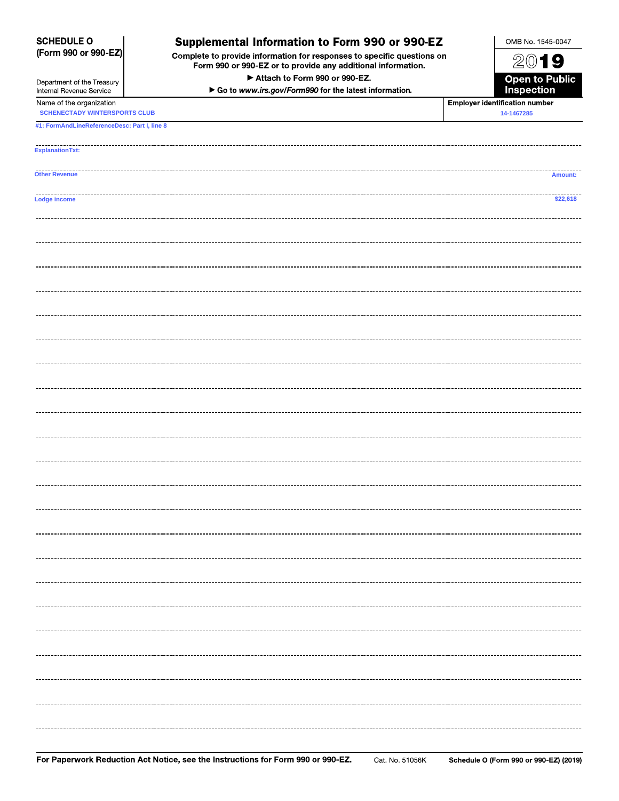| <b>SCHEDULE O</b><br>Supplemental Information to Form 990 or 990-EZ<br>(Form 990 or 990-EZ)<br>Complete to provide information for responses to specific questions on<br>Form 990 or 990-EZ or to provide any additional information. |                                                       | OMB No. 1545-0047                     |
|---------------------------------------------------------------------------------------------------------------------------------------------------------------------------------------------------------------------------------------|-------------------------------------------------------|---------------------------------------|
|                                                                                                                                                                                                                                       |                                                       | 2019                                  |
| Department of the Treasury                                                                                                                                                                                                            | Attach to Form 990 or 990-EZ.                         | <b>Open to Public<br/>Inspection</b>  |
| Internal Revenue Service<br>Name of the organization                                                                                                                                                                                  | Go to www.irs.gov/Form990 for the latest information. | <b>Employer identification number</b> |
| <b>SCHENECTADY WINTERSPORTS CLUB</b>                                                                                                                                                                                                  |                                                       | 14-1467285                            |
| #1: FormAndLineReferenceDesc: Part I, line 8                                                                                                                                                                                          |                                                       |                                       |
| <b>ExplanationTxt:</b>                                                                                                                                                                                                                |                                                       |                                       |
| <b>Other Revenue</b>                                                                                                                                                                                                                  |                                                       | Amount:                               |
| Lodge income                                                                                                                                                                                                                          |                                                       | \$22,618                              |
|                                                                                                                                                                                                                                       |                                                       |                                       |
|                                                                                                                                                                                                                                       |                                                       |                                       |
|                                                                                                                                                                                                                                       |                                                       |                                       |
|                                                                                                                                                                                                                                       |                                                       |                                       |
|                                                                                                                                                                                                                                       |                                                       |                                       |
|                                                                                                                                                                                                                                       |                                                       |                                       |
|                                                                                                                                                                                                                                       |                                                       |                                       |
|                                                                                                                                                                                                                                       |                                                       |                                       |
|                                                                                                                                                                                                                                       |                                                       |                                       |
|                                                                                                                                                                                                                                       |                                                       |                                       |
|                                                                                                                                                                                                                                       |                                                       |                                       |
|                                                                                                                                                                                                                                       |                                                       |                                       |
|                                                                                                                                                                                                                                       |                                                       |                                       |
|                                                                                                                                                                                                                                       |                                                       |                                       |
|                                                                                                                                                                                                                                       |                                                       |                                       |
|                                                                                                                                                                                                                                       |                                                       |                                       |
|                                                                                                                                                                                                                                       |                                                       |                                       |
|                                                                                                                                                                                                                                       |                                                       |                                       |
|                                                                                                                                                                                                                                       |                                                       |                                       |
|                                                                                                                                                                                                                                       |                                                       |                                       |
|                                                                                                                                                                                                                                       |                                                       |                                       |
|                                                                                                                                                                                                                                       |                                                       |                                       |
|                                                                                                                                                                                                                                       |                                                       |                                       |
|                                                                                                                                                                                                                                       |                                                       |                                       |
|                                                                                                                                                                                                                                       |                                                       |                                       |
|                                                                                                                                                                                                                                       |                                                       |                                       |
|                                                                                                                                                                                                                                       |                                                       |                                       |
|                                                                                                                                                                                                                                       |                                                       |                                       |
|                                                                                                                                                                                                                                       |                                                       |                                       |
|                                                                                                                                                                                                                                       |                                                       |                                       |
|                                                                                                                                                                                                                                       |                                                       |                                       |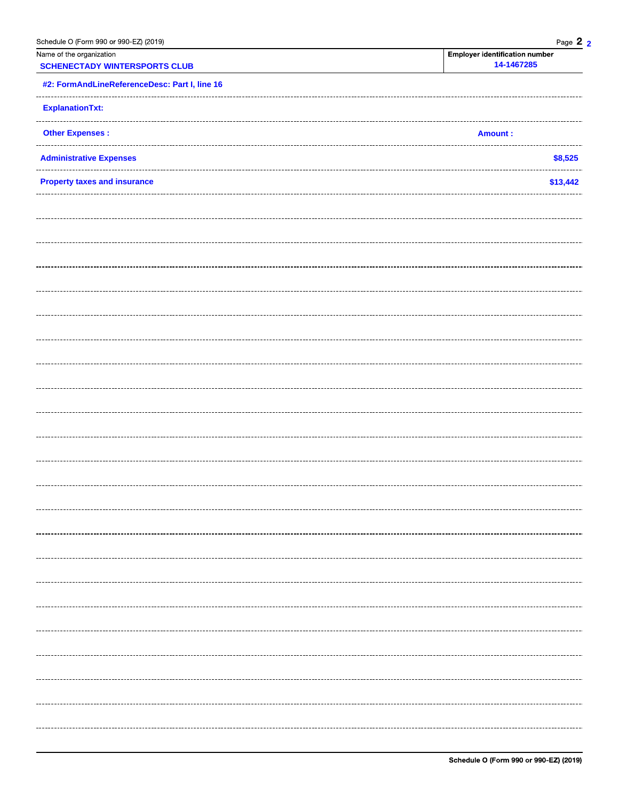| Schedule O (Form 990 or 990-EZ) (2019)                           | Page 2 2                                            |
|------------------------------------------------------------------|-----------------------------------------------------|
| Name of the organization<br><b>SCHENECTADY WINTERSPORTS CLUB</b> | <b>Employer identification number</b><br>14-1467285 |
| #2: FormAndLineReferenceDesc: Part I, line 16                    |                                                     |
| <b>ExplanationTxt:</b>                                           |                                                     |
| <b>Other Expenses:</b>                                           | <b>Amount:</b>                                      |
| <b>Administrative Expenses</b>                                   | \$8,525                                             |
| <b>Property taxes and insurance</b>                              | \$13,442                                            |
|                                                                  |                                                     |
|                                                                  |                                                     |
|                                                                  |                                                     |
|                                                                  |                                                     |
|                                                                  |                                                     |
|                                                                  |                                                     |
|                                                                  |                                                     |
|                                                                  |                                                     |
|                                                                  |                                                     |
|                                                                  |                                                     |
|                                                                  |                                                     |
|                                                                  |                                                     |
|                                                                  |                                                     |
|                                                                  |                                                     |
|                                                                  |                                                     |
|                                                                  |                                                     |
|                                                                  |                                                     |
|                                                                  |                                                     |
|                                                                  |                                                     |
|                                                                  |                                                     |
|                                                                  |                                                     |
|                                                                  |                                                     |
|                                                                  |                                                     |